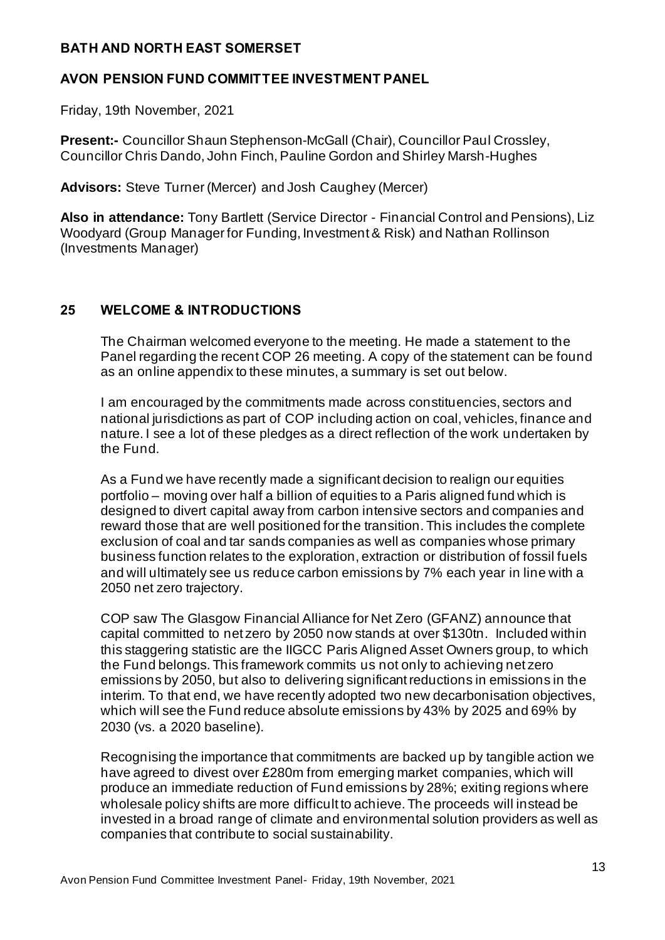### **BATH AND NORTH EAST SOMERSET**

## **AVON PENSION FUND COMMITTEE INVESTMENT PANEL**

Friday, 19th November, 2021

**Present:-** Councillor Shaun Stephenson-McGall (Chair), Councillor Paul Crossley, Councillor Chris Dando, John Finch, Pauline Gordon and Shirley Marsh-Hughes

**Advisors:** Steve Turner (Mercer) and Josh Caughey (Mercer)

**Also in attendance:** Tony Bartlett (Service Director - Financial Control and Pensions), Liz Woodyard (Group Manager for Funding, Investment & Risk) and Nathan Rollinson (Investments Manager)

## **25 WELCOME & INTRODUCTIONS**

The Chairman welcomed everyone to the meeting. He made a statement to the Panel regarding the recent COP 26 meeting. A copy of the statement can be found as an online appendix to these minutes, a summary is set out below.

I am encouraged by the commitments made across constituencies, sectors and national jurisdictions as part of COP including action on coal, vehicles, finance and nature. I see a lot of these pledges as a direct reflection of the work undertaken by the Fund.

As a Fund we have recently made a significant decision to realign our equities portfolio – moving over half a billion of equities to a Paris aligned fund which is designed to divert capital away from carbon intensive sectors and companies and reward those that are well positioned for the transition. This includes the complete exclusion of coal and tar sands companies as well as companies whose primary business function relates to the exploration, extraction or distribution of fossil fuels and will ultimately see us reduce carbon emissions by 7% each year in line with a 2050 net zero trajectory.

COP saw The Glasgow Financial Alliance for Net Zero (GFANZ) announce that capital committed to net zero by 2050 now stands at over \$130tn. Included within this staggering statistic are the IIGCC Paris Aligned Asset Owners group, to which the Fund belongs. This framework commits us not only to achieving net zero emissions by 2050, but also to delivering significant reductions in emissions in the interim. To that end, we have recently adopted two new decarbonisation objectives, which will see the Fund reduce absolute emissions by 43% by 2025 and 69% by 2030 (vs. a 2020 baseline).

Recognising the importance that commitments are backed up by tangible action we have agreed to divest over £280m from emerging market companies, which will produce an immediate reduction of Fund emissions by 28%; exiting regions where wholesale policy shifts are more difficult to achieve. The proceeds will instead be invested in a broad range of climate and environmental solution providers as well as companies that contribute to social sustainability.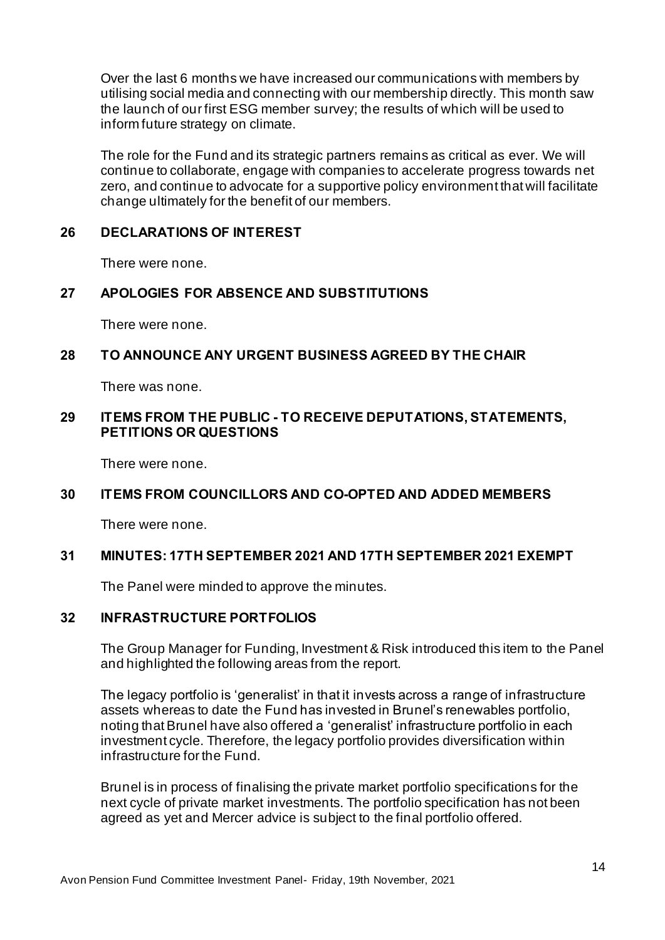Over the last 6 months we have increased our communications with members by utilising social media and connecting with our membership directly. This month saw the launch of our first ESG member survey; the results of which will be used to inform future strategy on climate.

The role for the Fund and its strategic partners remains as critical as ever. We will continue to collaborate, engage with companies to accelerate progress towards net zero, and continue to advocate for a supportive policy environment that will facilitate change ultimately for the benefit of our members.

## **26 DECLARATIONS OF INTEREST**

There were none.

## **27 APOLOGIES FOR ABSENCE AND SUBSTITUTIONS**

There were none.

## **28 TO ANNOUNCE ANY URGENT BUSINESS AGREED BY THE CHAIR**

There was none.

## **29 ITEMS FROM THE PUBLIC - TO RECEIVE DEPUTATIONS, STATEMENTS, PETITIONS OR QUESTIONS**

There were none.

## **30 ITEMS FROM COUNCILLORS AND CO-OPTED AND ADDED MEMBERS**

There were none.

## **31 MINUTES: 17TH SEPTEMBER 2021 AND 17TH SEPTEMBER 2021 EXEMPT**

The Panel were minded to approve the minutes.

## **32 INFRASTRUCTURE PORTFOLIOS**

The Group Manager for Funding, Investment & Risk introduced this item to the Panel and highlighted the following areas from the report.

The legacy portfolio is 'generalist' in that it invests across a range of infrastructure assets whereas to date the Fund has invested in Brunel's renewables portfolio, noting that Brunel have also offered a 'generalist' infrastructure portfolio in each investment cycle. Therefore, the legacy portfolio provides diversification within infrastructure for the Fund.

Brunel is in process of finalising the private market portfolio specifications for the next cycle of private market investments. The portfolio specification has not been agreed as yet and Mercer advice is subject to the final portfolio offered.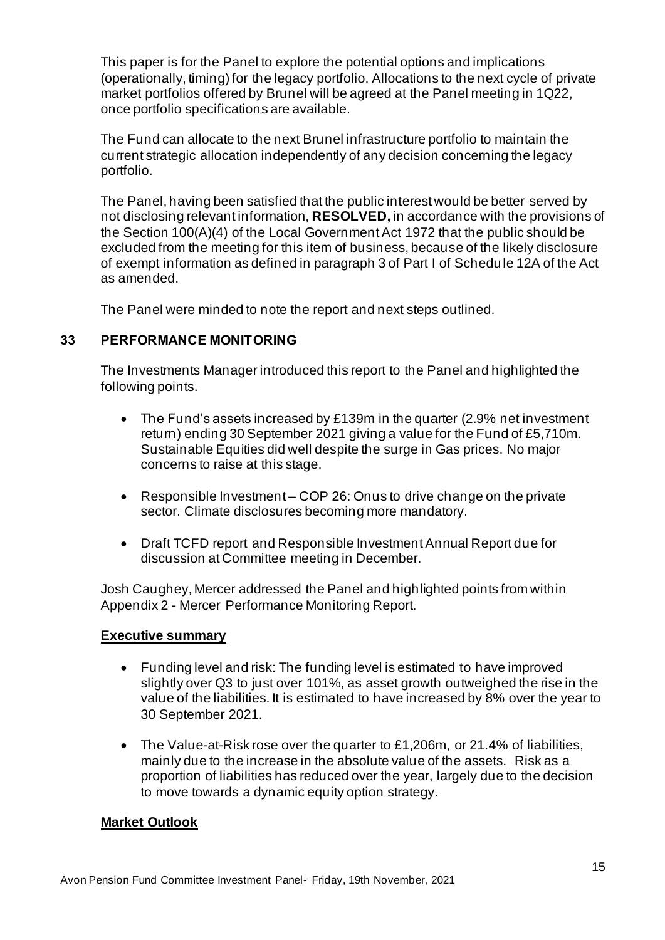This paper is for the Panel to explore the potential options and implications (operationally, timing) for the legacy portfolio. Allocations to the next cycle of private market portfolios offered by Brunel will be agreed at the Panel meeting in 1Q22, once portfolio specifications are available.

The Fund can allocate to the next Brunel infrastructure portfolio to maintain the current strategic allocation independently of any decision concerning the legacy portfolio.

The Panel, having been satisfied that the public interest would be better served by not disclosing relevant information, **RESOLVED,** in accordance with the provisions of the Section 100(A)(4) of the Local Government Act 1972 that the public should be excluded from the meeting for this item of business, because of the likely disclosure of exempt information as defined in paragraph 3 of Part I of Schedule 12A of the Act as amended.

The Panel were minded to note the report and next steps outlined.

# **33 PERFORMANCE MONITORING**

The Investments Manager introduced this report to the Panel and highlighted the following points.

- The Fund's assets increased by £139m in the quarter (2.9% net investment return) ending 30 September 2021 giving a value for the Fund of £5,710m. Sustainable Equities did well despite the surge in Gas prices. No major concerns to raise at this stage.
- Responsible Investment COP 26: Onus to drive change on the private sector. Climate disclosures becoming more mandatory.
- Draft TCFD report and Responsible Investment Annual Report due for discussion at Committee meeting in December.

Josh Caughey, Mercer addressed the Panel and highlighted points from within Appendix 2 - Mercer Performance Monitoring Report.

## **Executive summary**

- Funding level and risk: The funding level is estimated to have improved slightly over Q3 to just over 101%, as asset growth outweighed the rise in the value of the liabilities. It is estimated to have increased by 8% over the year to 30 September 2021.
- The Value-at-Risk rose over the quarter to £1,206m, or 21.4% of liabilities, mainly due to the increase in the absolute value of the assets. Risk as a proportion of liabilities has reduced over the year, largely due to the decision to move towards a dynamic equity option strategy.

## **Market Outlook**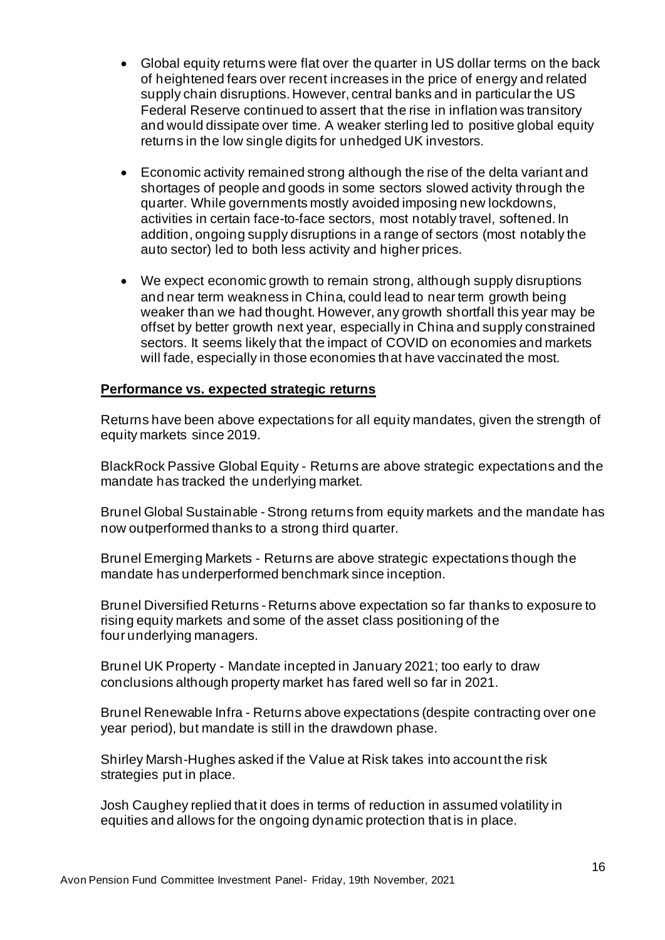- Global equity returns were flat over the quarter in US dollar terms on the back of heightened fears over recent increases in the price of energy and related supply chain disruptions. However, central banks and in particular the US Federal Reserve continued to assert that the rise in inflation was transitory and would dissipate over time. A weaker sterling led to positive global equity returns in the low single digits for unhedged UK investors.
- Economic activity remained strong although the rise of the delta variant and shortages of people and goods in some sectors slowed activity through the quarter. While governments mostly avoided imposing new lockdowns, activities in certain face-to-face sectors, most notably travel, softened. In addition, ongoing supply disruptions in a range of sectors (most notably the auto sector) led to both less activity and higher prices.
- We expect economic growth to remain strong, although supply disruptions and near term weakness in China, could lead to near term growth being weaker than we had thought. However, any growth shortfall this year may be offset by better growth next year, especially in China and supply constrained sectors. It seems likely that the impact of COVID on economies and markets will fade, especially in those economies that have vaccinated the most.

#### **Performance vs. expected strategic returns**

Returns have been above expectations for all equity mandates, given the strength of equity markets since 2019.

BlackRock Passive Global Equity - Returns are above strategic expectations and the mandate has tracked the underlying market.

Brunel Global Sustainable - Strong returns from equity markets and the mandate has now outperformed thanks to a strong third quarter.

Brunel Emerging Markets - Returns are above strategic expectations though the mandate has underperformed benchmark since inception.

Brunel Diversified Returns - Returns above expectation so far thanks to exposure to rising equity markets and some of the asset class positioning of the four underlying managers.

Brunel UK Property - Mandate incepted in January 2021; too early to draw conclusions although property market has fared well so far in 2021.

Brunel Renewable Infra - Returns above expectations (despite contracting over one year period), but mandate is still in the drawdown phase.

Shirley Marsh-Hughes asked if the Value at Risk takes into account the risk strategies put in place.

Josh Caughey replied that it does in terms of reduction in assumed volatility in equities and allows for the ongoing dynamic protection that is in place.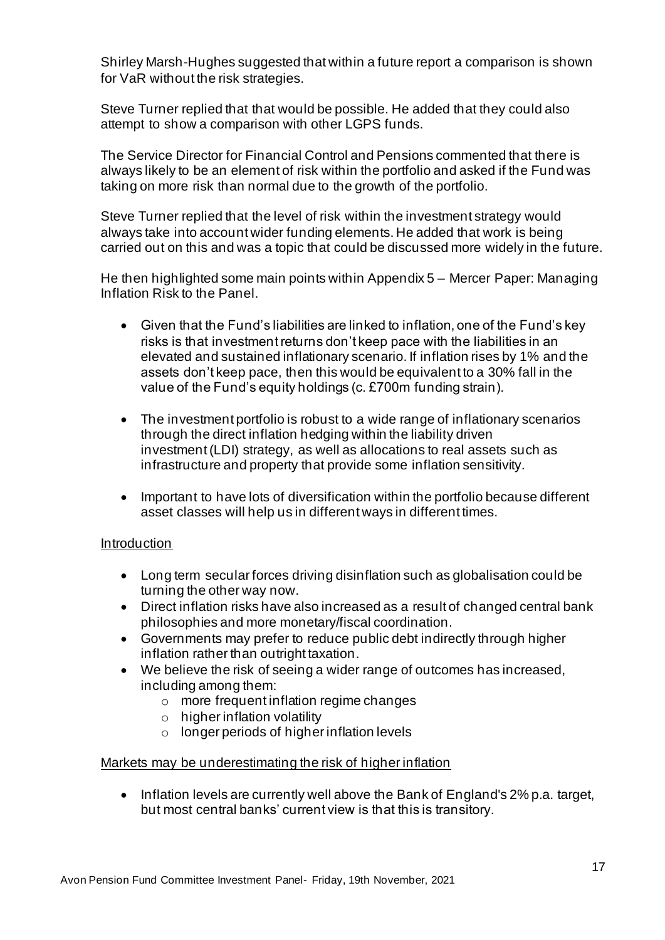Shirley Marsh-Hughes suggested that within a future report a comparison is shown for VaR without the risk strategies.

Steve Turner replied that that would be possible. He added that they could also attempt to show a comparison with other LGPS funds.

The Service Director for Financial Control and Pensions commented that there is always likely to be an element of risk within the portfolio and asked if the Fund was taking on more risk than normal due to the growth of the portfolio.

Steve Turner replied that the level of risk within the investment strategy would always take into account wider funding elements. He added that work is being carried out on this and was a topic that could be discussed more widely in the future.

He then highlighted some main points within Appendix 5 – Mercer Paper: Managing Inflation Risk to the Panel.

- Given that the Fund's liabilities are linked to inflation, one of the Fund's key risks is that investment returns don't keep pace with the liabilities in an elevated and sustained inflationary scenario. If inflation rises by 1% and the assets don't keep pace, then this would be equivalent to a 30% fall in the value of the Fund's equity holdings (c. £700m funding strain).
- The investment portfolio is robust to a wide range of inflationary scenarios through the direct inflation hedging within the liability driven investment (LDI) strategy, as well as allocations to real assets such as infrastructure and property that provide some inflation sensitivity.
- Important to have lots of diversification within the portfolio because different asset classes will help us in different ways in different times.

## Introduction

- Long term secular forces driving disinflation such as globalisation could be turning the other way now.
- Direct inflation risks have also increased as a result of changed central bank philosophies and more monetary/fiscal coordination.
- Governments may prefer to reduce public debt indirectly through higher inflation rather than outright taxation.
- We believe the risk of seeing a wider range of outcomes has increased, including among them:
	- o more frequent inflation regime changes
	- $\circ$  higher inflation volatility
	- o longer periods of higher inflation levels

## Markets may be underestimating the risk of higher inflation

• Inflation levels are currently well above the Bank of England's 2% p.a. target, but most central banks' current view is that this is transitory.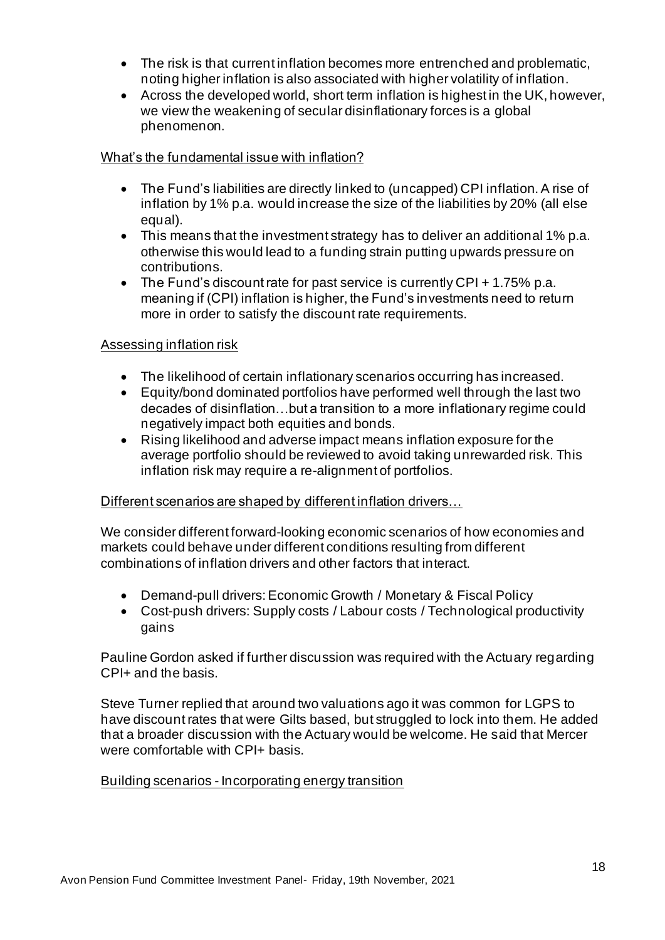- The risk is that current inflation becomes more entrenched and problematic, noting higher inflation is also associated with higher volatility of inflation.
- Across the developed world, short term inflation is highest in the UK, however, we view the weakening of secular disinflationary forces is a global phenomenon.

## What's the fundamental issue with inflation?

- The Fund's liabilities are directly linked to (uncapped) CPI inflation. A rise of inflation by 1% p.a. would increase the size of the liabilities by 20% (all else equal).
- This means that the investment strategy has to deliver an additional 1% p.a. otherwise this would lead to a funding strain putting upwards pressure on contributions.
- The Fund's discount rate for past service is currently CPI + 1.75% p.a. meaning if (CPI) inflation is higher, the Fund's investments need to return more in order to satisfy the discount rate requirements.

# Assessing inflation risk

- The likelihood of certain inflationary scenarios occurring has increased.
- Equity/bond dominated portfolios have performed well through the last two decades of disinflation…but a transition to a more inflationary regime could negatively impact both equities and bonds.
- Rising likelihood and adverse impact means inflation exposure for the average portfolio should be reviewed to avoid taking unrewarded risk. This inflation risk may require a re-alignment of portfolios.

## Different scenarios are shaped by different inflation drivers…

We consider different forward-looking economic scenarios of how economies and markets could behave under different conditions resulting from different combinations of inflation drivers and other factors that interact.

- Demand-pull drivers: Economic Growth / Monetary & Fiscal Policy
- Cost-push drivers: Supply costs / Labour costs / Technological productivity gains

Pauline Gordon asked if further discussion was required with the Actuary regarding CPI+ and the basis.

Steve Turner replied that around two valuations ago it was common for LGPS to have discount rates that were Gilts based, but struggled to lock into them. He added that a broader discussion with the Actuary would be welcome. He said that Mercer were comfortable with CPI+ basis.

## Building scenarios - Incorporating energy transition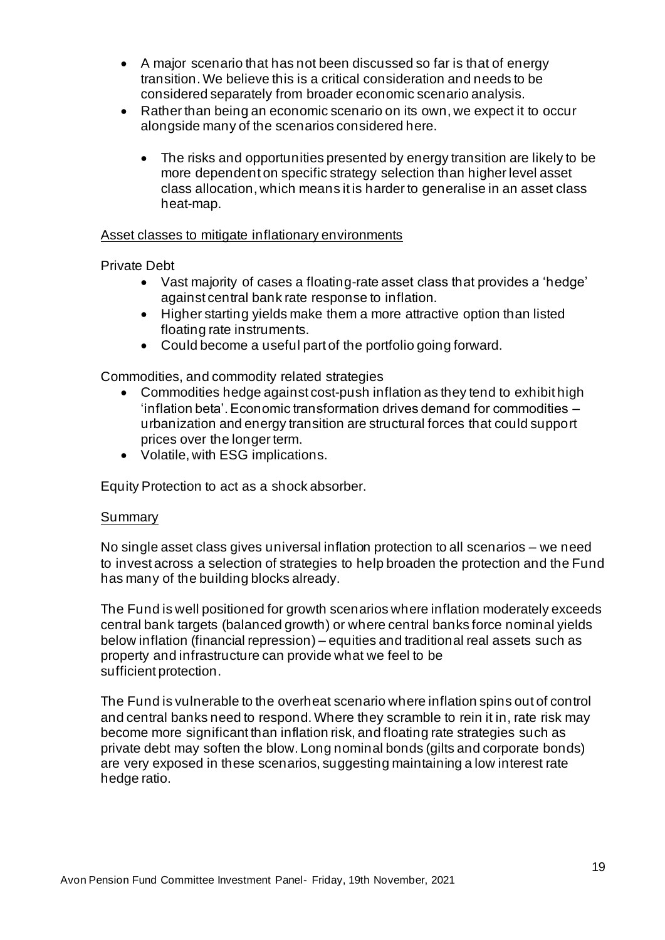- A major scenario that has not been discussed so far is that of energy transition. We believe this is a critical consideration and needs to be considered separately from broader economic scenario analysis.
- Rather than being an economic scenario on its own, we expect it to occur alongside many of the scenarios considered here.
	- The risks and opportunities presented by energy transition are likely to be more dependent on specific strategy selection than higher level asset class allocation, which means it is harder to generalise in an asset class heat-map.

#### Asset classes to mitigate inflationary environments

Private Debt

- Vast majority of cases a floating-rate asset class that provides a 'hedge' against central bank rate response to inflation.
- Higher starting yields make them a more attractive option than listed floating rate instruments.
- Could become a useful part of the portfolio going forward.

Commodities, and commodity related strategies

- Commodities hedge against cost-push inflation as they tend to exhibit high 'inflation beta'. Economic transformation drives demand for commodities – urbanization and energy transition are structural forces that could support prices over the longer term.
- Volatile, with ESG implications.

Equity Protection to act as a shock absorber.

#### **Summary**

No single asset class gives universal inflation protection to all scenarios – we need to invest across a selection of strategies to help broaden the protection and the Fund has many of the building blocks already.

The Fund is well positioned for growth scenarios where inflation moderately exceeds central bank targets (balanced growth) or where central banks force nominal yields below inflation (financial repression) – equities and traditional real assets such as property and infrastructure can provide what we feel to be sufficient protection.

The Fund is vulnerable to the overheat scenario where inflation spins out of control and central banks need to respond. Where they scramble to rein it in, rate risk may become more significant than inflation risk, and floating rate strategies such as private debt may soften the blow. Long nominal bonds (gilts and corporate bonds) are very exposed in these scenarios, suggesting maintaining a low interest rate hedge ratio.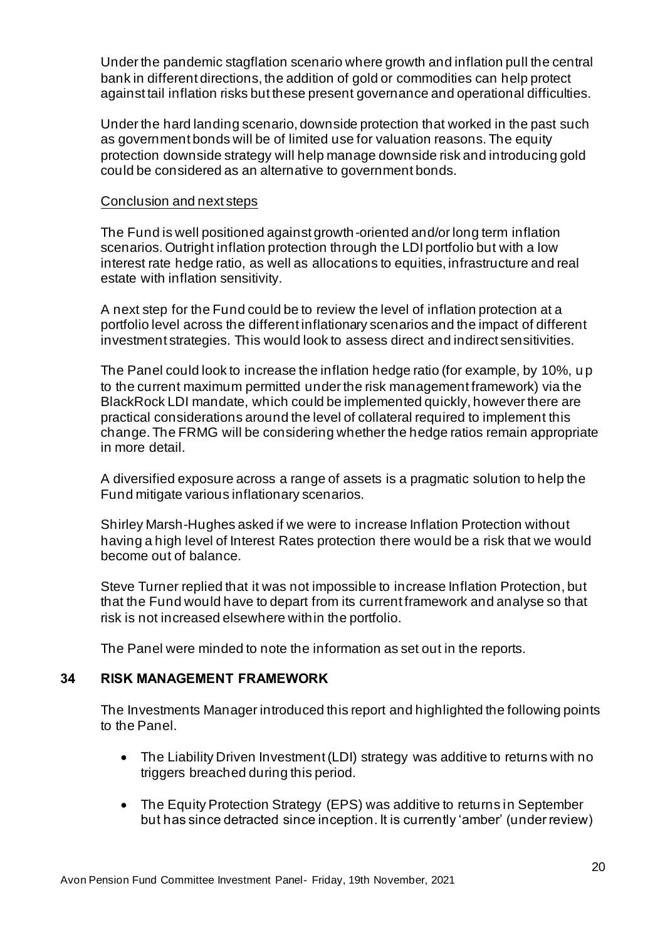Under the pandemic stagflation scenario where growth and inflation pull the central bank in different directions, the addition of gold or commodities can help protect against tail inflation risks but these present governance and operational difficulties.

Under the hard landing scenario, downside protection that worked in the past such as government bonds will be of limited use for valuation reasons. The equity protection downside strategy will help manage downside risk and introducing gold could be considered as an alternative to government bonds.

#### Conclusion and next steps

The Fund is well positioned against growth-oriented and/or long term inflation scenarios. Outright inflation protection through the LDI portfolio but with a low interest rate hedge ratio, as well as allocations to equities, infrastructure and real estate with inflation sensitivity.

A next step for the Fund could be to review the level of inflation protection at a portfolio level across the different inflationary scenarios and the impact of different investment strategies. This would look to assess direct and indirect sensitivities.

The Panel could look to increase the inflation hedge ratio (for example, by 10%, u p to the current maximum permitted under the risk management framework) via the BlackRock LDI mandate, which could be implemented quickly, however there are practical considerations around the level of collateral required to implement this change. The FRMG will be considering whether the hedge ratios remain appropriate in more detail.

A diversified exposure across a range of assets is a pragmatic solution to help the Fund mitigate various inflationary scenarios.

Shirley Marsh-Hughes asked if we were to increase Inflation Protection without having a high level of Interest Rates protection there would be a risk that we would become out of balance.

Steve Turner replied that it was not impossible to increase Inflation Protection, but that the Fund would have to depart from its current framework and analyse so that risk is not increased elsewhere within the portfolio.

The Panel were minded to note the information as set out in the reports.

## **34 RISK MANAGEMENT FRAMEWORK**

The Investments Manager introduced this report and highlighted the following points to the Panel.

- The Liability Driven Investment (LDI) strategy was additive to returns with no triggers breached during this period.
- The Equity Protection Strategy (EPS) was additive to returns in September but has since detracted since inception. It is currently 'amber' (under review)